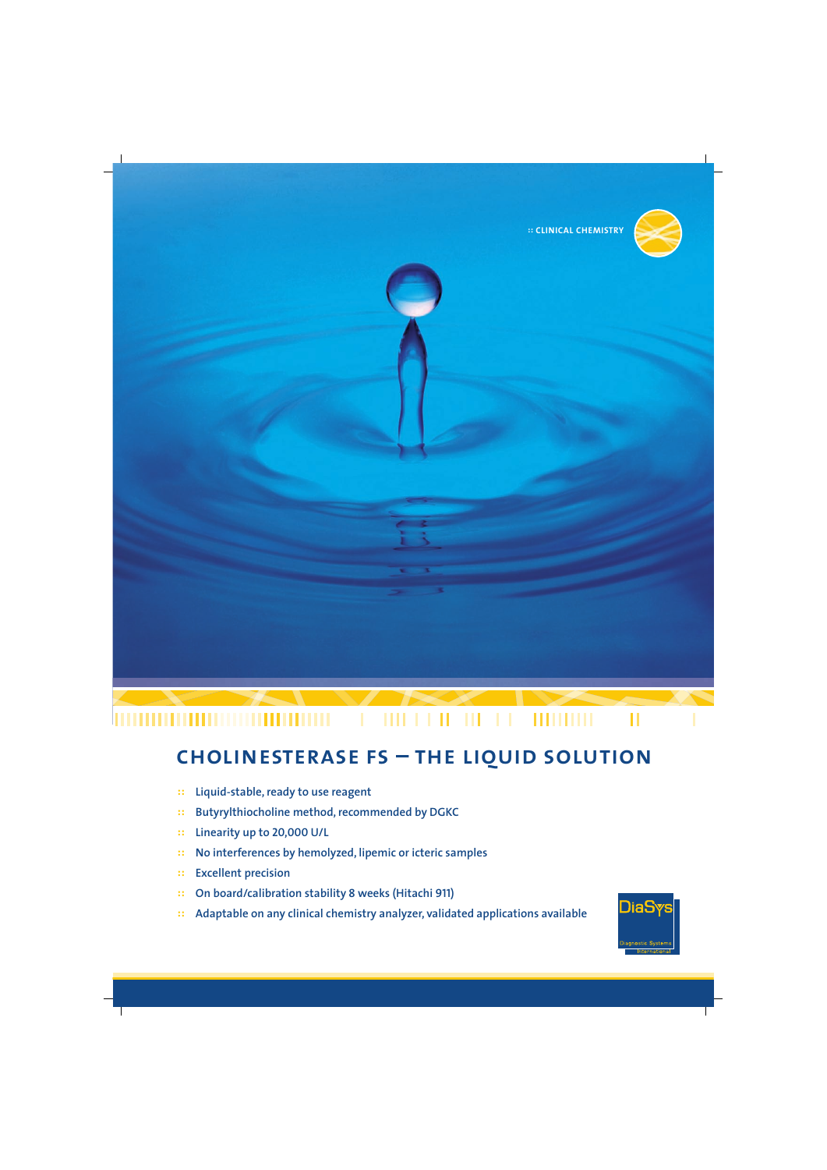

#### 0000000000000000000  $1111111$ Ш **HITHER** П

# **cholinesterase fs – the liquid solution**

- **:: Liquid-stable, ready to use reagent**
- **:: Butyrylthiocholine method, recommended by DGKC**
- **:: Linearity up to 20,000 U/L**
- **:: No interferences by hemolyzed, lipemic or icteric samples**
- **:: Excellent precision**
- **:: On board/calibration stability 8 weeks (Hitachi 911)**
- **:: Adaptable on any clinical chemistry analyzer, validated applications available**